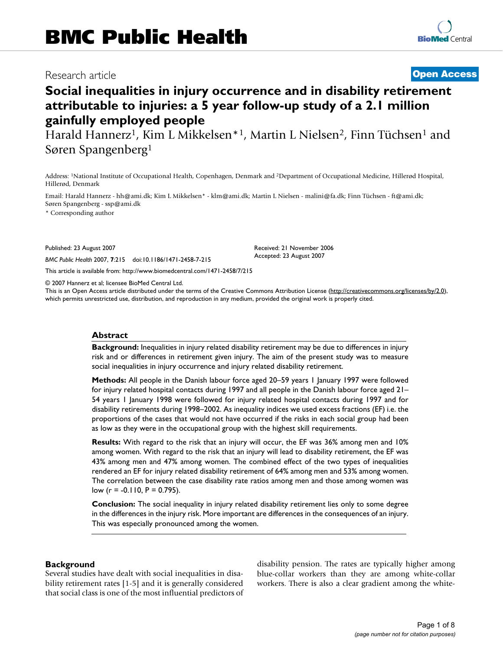## Research article **[Open Access](http://www.biomedcentral.com/info/about/charter/)**

# **Social inequalities in injury occurrence and in disability retirement attributable to injuries: a 5 year follow-up study of a 2.1 million gainfully employed people**

Harald Hannerz<sup>1</sup>, Kim L Mikkelsen<sup>\*1</sup>, Martin L Nielsen<sup>2</sup>, Finn Tüchsen<sup>1</sup> and Søren Spangenberg1

Address: 1National Institute of Occupational Health, Copenhagen, Denmark and 2Department of Occupational Medicine, Hillerød Hospital, Hillerød, Denmark

Email: Harald Hannerz - hh@ami.dk; Kim L Mikkelsen\* - klm@ami.dk; Martin L Nielsen - malini@fa.dk; Finn Tüchsen - ft@ami.dk; Søren Spangenberg - ssp@ami.dk

\* Corresponding author

Published: 23 August 2007

*BMC Public Health* 2007, **7**:215 doi:10.1186/1471-2458-7-215

[This article is available from: http://www.biomedcentral.com/1471-2458/7/215](http://www.biomedcentral.com/1471-2458/7/215)

© 2007 Hannerz et al; licensee BioMed Central Ltd.

This is an Open Access article distributed under the terms of the Creative Commons Attribution License [\(http://creativecommons.org/licenses/by/2.0\)](http://creativecommons.org/licenses/by/2.0), which permits unrestricted use, distribution, and reproduction in any medium, provided the original work is properly cited.

Received: 21 November 2006 Accepted: 23 August 2007

#### **Abstract**

**Background:** Inequalities in injury related disability retirement may be due to differences in injury risk and or differences in retirement given injury. The aim of the present study was to measure social inequalities in injury occurrence and injury related disability retirement.

**Methods:** All people in the Danish labour force aged 20–59 years 1 January 1997 were followed for injury related hospital contacts during 1997 and all people in the Danish labour force aged 21– 54 years 1 January 1998 were followed for injury related hospital contacts during 1997 and for disability retirements during 1998–2002. As inequality indices we used excess fractions (EF) i.e. the proportions of the cases that would not have occurred if the risks in each social group had been as low as they were in the occupational group with the highest skill requirements.

**Results:** With regard to the risk that an injury will occur, the EF was 36% among men and 10% among women. With regard to the risk that an injury will lead to disability retirement, the EF was 43% among men and 47% among women. The combined effect of the two types of inequalities rendered an EF for injury related disability retirement of 64% among men and 53% among women. The correlation between the case disability rate ratios among men and those among women was low (r =  $-0.110$ , P = 0.795).

**Conclusion:** The social inequality in injury related disability retirement lies only to some degree in the differences in the injury risk. More important are differences in the consequences of an injury. This was especially pronounced among the women.

#### **Background**

Several studies have dealt with social inequalities in disability retirement rates [1-5] and it is generally considered that social class is one of the most influential predictors of disability pension. The rates are typically higher among blue-collar workers than they are among white-collar workers. There is also a clear gradient among the white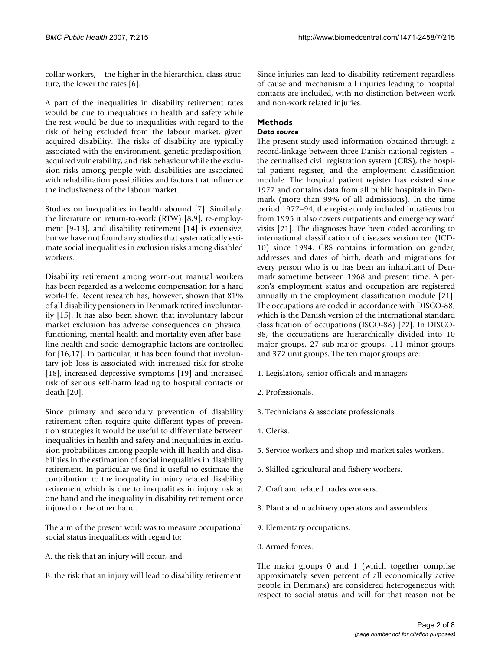collar workers, – the higher in the hierarchical class structure, the lower the rates [6].

A part of the inequalities in disability retirement rates would be due to inequalities in health and safety while the rest would be due to inequalities with regard to the risk of being excluded from the labour market, given acquired disability. The risks of disability are typically associated with the environment, genetic predisposition, acquired vulnerability, and risk behaviour while the exclusion risks among people with disabilities are associated with rehabilitation possibilities and factors that influence the inclusiveness of the labour market.

Studies on inequalities in health abound [7]. Similarly, the literature on return-to-work (RTW) [8,9], re-employment [9-13], and disability retirement [14] is extensive, but we have not found any studies that systematically estimate social inequalities in exclusion risks among disabled workers.

Disability retirement among worn-out manual workers has been regarded as a welcome compensation for a hard work-life. Recent research has, however, shown that 81% of all disability pensioners in Denmark retired involuntarily [15]. It has also been shown that involuntary labour market exclusion has adverse consequences on physical functioning, mental health and mortality even after baseline health and socio-demographic factors are controlled for [16,17]. In particular, it has been found that involuntary job loss is associated with increased risk for stroke [18], increased depressive symptoms [19] and increased risk of serious self-harm leading to hospital contacts or death [20].

Since primary and secondary prevention of disability retirement often require quite different types of prevention strategies it would be useful to differentiate between inequalities in health and safety and inequalities in exclusion probabilities among people with ill health and disabilities in the estimation of social inequalities in disability retirement. In particular we find it useful to estimate the contribution to the inequality in injury related disability retirement which is due to inequalities in injury risk at one hand and the inequality in disability retirement once injured on the other hand.

The aim of the present work was to measure occupational social status inequalities with regard to:

- A. the risk that an injury will occur, and
- B. the risk that an injury will lead to disability retirement.

Since injuries can lead to disability retirement regardless of cause and mechanism all injuries leading to hospital contacts are included, with no distinction between work and non-work related injuries.

# **Methods**

#### *Data source*

The present study used information obtained through a record-linkage between three Danish national registers – the centralised civil registration system (CRS), the hospital patient register, and the employment classification module. The hospital patient register has existed since 1977 and contains data from all public hospitals in Denmark (more than 99% of all admissions). In the time period 1977–94, the register only included inpatients but from 1995 it also covers outpatients and emergency ward visits [21]. The diagnoses have been coded according to international classification of diseases version ten (ICD-10) since 1994. CRS contains information on gender, addresses and dates of birth, death and migrations for every person who is or has been an inhabitant of Denmark sometime between 1968 and present time. A person's employment status and occupation are registered annually in the employment classification module [21]. The occupations are coded in accordance with DISCO-88, which is the Danish version of the international standard classification of occupations (ISCO-88) [22]. In DISCO-88, the occupations are hierarchically divided into 10 major groups, 27 sub-major groups, 111 minor groups and 372 unit groups. The ten major groups are:

- 1. Legislators, senior officials and managers.
- 2. Professionals.
- 3. Technicians & associate professionals.
- 4. Clerks.
- 5. Service workers and shop and market sales workers.
- 6. Skilled agricultural and fishery workers.
- 7. Craft and related trades workers.
- 8. Plant and machinery operators and assemblers.
- 9. Elementary occupations.
- 0. Armed forces.

The major groups 0 and 1 (which together comprise approximately seven percent of all economically active people in Denmark) are considered heterogeneous with respect to social status and will for that reason not be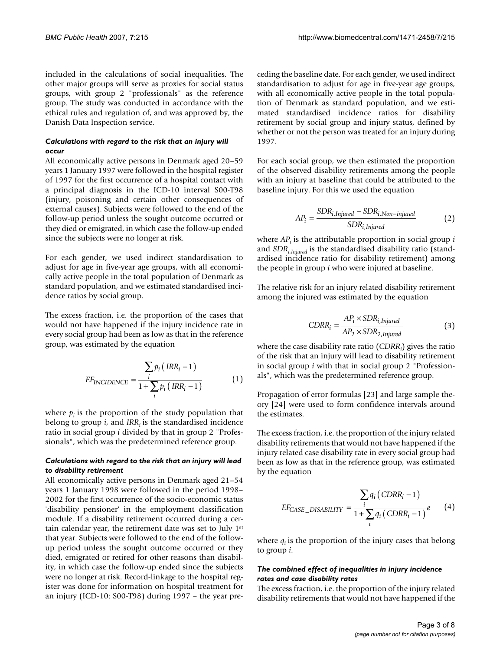included in the calculations of social inequalities. The other major groups will serve as proxies for social status groups, with group 2 "professionals" as the reference group. The study was conducted in accordance with the ethical rules and regulation of, and was approved by, the Danish Data Inspection service.

#### *Calculations with regard to the risk that an injury will occur*

All economically active persons in Denmark aged 20–59 years 1 January 1997 were followed in the hospital register of 1997 for the first occurrence of a hospital contact with a principal diagnosis in the ICD-10 interval S00-T98 (injury, poisoning and certain other consequences of external causes). Subjects were followed to the end of the follow-up period unless the sought outcome occurred or they died or emigrated, in which case the follow-up ended since the subjects were no longer at risk.

For each gender, we used indirect standardisation to adjust for age in five-year age groups, with all economically active people in the total population of Denmark as standard population, and we estimated standardised incidence ratios by social group.

The excess fraction, i.e. the proportion of the cases that would not have happened if the injury incidence rate in every social group had been as low as that in the reference group, was estimated by the equation

$$
EF_{INCIDENCE} = \frac{\sum_{i} p_i (IRR_i - 1)}{1 + \sum_{i} p_i (IRR_i - 1)}
$$
(1)

where  $p_i$  is the proportion of the study population that belong to group *i*, and *IRR*<sub>*i*</sub> is the standardised incidence ratio in social group *i* divided by that in group 2 "Professionals", which was the predetermined reference group.

#### *Calculations with regard to the risk that an injury will lead to disability retirement*

All economically active persons in Denmark aged 21–54 years 1 January 1998 were followed in the period 1998– 2002 for the first occurrence of the socio-economic status 'disability pensioner' in the employment classification module. If a disability retirement occurred during a certain calendar year, the retirement date was set to July 1st that year. Subjects were followed to the end of the followup period unless the sought outcome occurred or they died, emigrated or retired for other reasons than disability, in which case the follow-up ended since the subjects were no longer at risk. Record-linkage to the hospital register was done for information on hospital treatment for an injury (ICD-10: S00-T98) during 1997 – the year preceding the baseline date. For each gender, we used indirect standardisation to adjust for age in five-year age groups, with all economically active people in the total population of Denmark as standard population, and we estimated standardised incidence ratios for disability retirement by social group and injury status, defined by whether or not the person was treated for an injury during 1997.

For each social group, we then estimated the proportion of the observed disability retirements among the people with an injury at baseline that could be attributed to the baseline injury. For this we used the equation

$$
AP_i = \frac{SDR_{i,Injured} - SDR_{i,Non-injured}}{SDR_{i,Injured}}
$$
 (2)

where *APi* is the attributable proportion in social group *i* and *SDRi*,*Injured* is the standardised disability ratio (standardised incidence ratio for disability retirement) among the people in group *i* who were injured at baseline.

The relative risk for an injury related disability retirement among the injured was estimated by the equation

$$
CDRR_i = \frac{AP_i \times SDR_{i,[} \times SDR_{i,2})}{AP_2 \times SDR_{2,2} \times SDR_{i,2}}
$$
 (3)

where the case disability rate ratio (*CDRRi* ) gives the ratio of the risk that an injury will lead to disability retirement in social group *i* with that in social group 2 "Professionals", which was the predetermined reference group.

Propagation of error formulas [23] and large sample theory [24] were used to form confidence intervals around the estimates.

The excess fraction, i.e. the proportion of the injury related disability retirements that would not have happened if the injury related case disability rate in every social group had been as low as that in the reference group, was estimated by the equation

$$
EF_{CASE\_DISABILITY} = \frac{\sum_{i} q_i (CDRR_i - 1)}{1 + \sum_{i} q_i (CDRR_i - 1)} e
$$
 (4)

where  $q_i$  is the proportion of the injury cases that belong to group *i*.

#### *The combined effect of inequalities in injury incidence rates and case disability rates*

The excess fraction, i.e. the proportion of the injury related disability retirements that would not have happened if the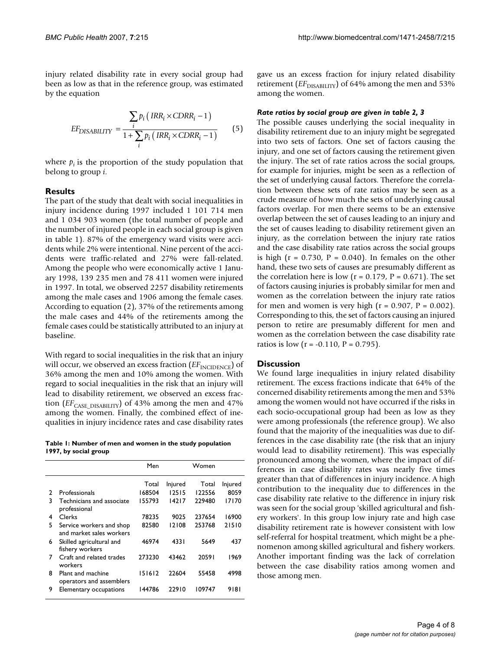injury related disability rate in every social group had been as low as that in the reference group, was estimated by the equation

$$
EF_{DISABILITY} = \frac{\sum_{i} p_i \left( IRR_i \times CDRR_i - 1 \right)}{1 + \sum_{i} p_i \left( IRR_i \times CDRR_i - 1 \right)} \tag{5}
$$

where  $p_i$  is the proportion of the study population that belong to group *i*.

#### **Results**

The part of the study that dealt with social inequalities in injury incidence during 1997 included 1 101 714 men and 1 034 903 women (the total number of people and the number of injured people in each social group is given in table 1). 87% of the emergency ward visits were accidents while 2% were intentional. Nine percent of the accidents were traffic-related and 27% were fall-related. Among the people who were economically active 1 January 1998, 139 235 men and 78 411 women were injured in 1997. In total, we observed 2257 disability retirements among the male cases and 1906 among the female cases. According to equation (2), 37% of the retirements among the male cases and 44% of the retirements among the female cases could be statistically attributed to an injury at baseline.

With regard to social inequalities in the risk that an injury will occur, we observed an excess fraction (*EF*<sub>INCIDENCE</sub>) of 36% among the men and 10% among the women. With regard to social inequalities in the risk that an injury will lead to disability retirement, we observed an excess fraction ( $E_{\text{CASE-DISABILITY}}$ ) of 43% among the men and 47% among the women. Finally, the combined effect of inequalities in injury incidence rates and case disability rates

**Table 1: Number of men and women in the study population 1997, by social group**

|   |                                                      | Men    |         | Women  |         |
|---|------------------------------------------------------|--------|---------|--------|---------|
|   |                                                      | Total  | Injured | Total  | Injured |
| 2 | Professionals                                        | 168504 | 12515   | 122556 | 8059    |
| ٦ | Technicians and associate<br>professional            | 155793 | 14217   | 229480 | 17170   |
| 4 | Clerks                                               | 78235  | 9025    | 237654 | 16900   |
| 5 | Service workers and shop<br>and market sales workers | 82580  | 12108   | 253768 | 21510   |
| 6 | Skilled agricultural and<br>fishery workers          | 46974  | 4331    | 5649   | 437     |
| 7 | Craft and related trades<br>workers                  | 273230 | 43462   | 20591  | 1969    |
| 8 | Plant and machine<br>operators and assemblers        | 151612 | 22604   | 55458  | 4998    |
| 9 | Elementary occupations                               | 144786 | 22910   | 109747 | 9181    |

gave us an excess fraction for injury related disability retirement (*EF*<sub>DISABILITY</sub>) of 64% among the men and 53% among the women.

#### *Rate ratios by social group are given in table 2, 3*

The possible causes underlying the social inequality in disability retirement due to an injury might be segregated into two sets of factors. One set of factors causing the injury, and one set of factors causing the retirement given the injury. The set of rate ratios across the social groups, for example for injuries, might be seen as a reflection of the set of underlying causal factors. Therefore the correlation between these sets of rate ratios may be seen as a crude measure of how much the sets of underlying causal factors overlap. For men there seems to be an extensive overlap between the set of causes leading to an injury and the set of causes leading to disability retirement given an injury, as the correlation between the injury rate ratios and the case disability rate ratios across the social groups is high ( $r = 0.730$ ,  $P = 0.040$ ). In females on the other hand, these two sets of causes are presumably different as the correlation here is low ( $r = 0.179$ ,  $P = 0.671$ ). The set of factors causing injuries is probably similar for men and women as the correlation between the injury rate ratios for men and women is very high  $(r = 0.907, P = 0.002)$ . Corresponding to this, the set of factors causing an injured person to retire are presumably different for men and women as the correlation between the case disability rate ratios is low  $(r = -0.110, P = 0.795)$ .

#### **Discussion**

We found large inequalities in injury related disability retirement. The excess fractions indicate that 64% of the concerned disability retirements among the men and 53% among the women would not have occurred if the risks in each socio-occupational group had been as low as they were among professionals (the reference group). We also found that the majority of the inequalities was due to differences in the case disability rate (the risk that an injury would lead to disability retirement). This was especially pronounced among the women, where the impact of differences in case disability rates was nearly five times greater than that of differences in injury incidence. A high contribution to the inequality due to differences in the case disability rate relative to the difference in injury risk was seen for the social group 'skilled agricultural and fishery workers'. In this group low injury rate and high case disability retirement rate is however consistent with low self-referral for hospital treatment, which might be a phenomenon among skilled agricultural and fishery workers. Another important finding was the lack of correlation between the case disability ratios among women and those among men.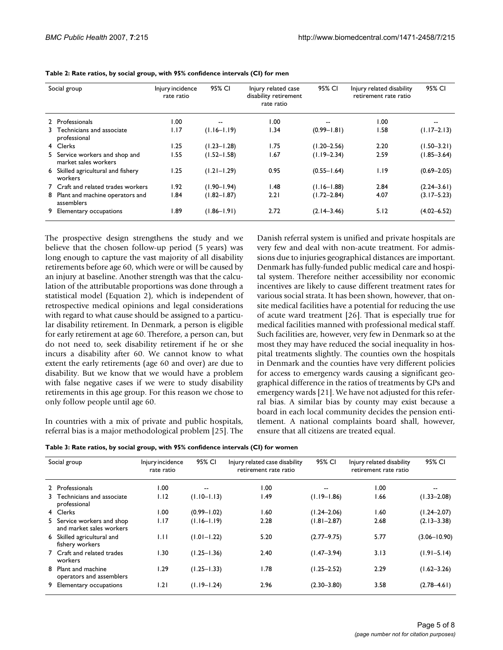| Social group |                                                        | Injury incidence<br>rate ratio | 95% CI          | Injury related case<br>disability retirement<br>rate ratio | 95% CI          | Injury related disability<br>retirement rate ratio | 95% CI          |
|--------------|--------------------------------------------------------|--------------------------------|-----------------|------------------------------------------------------------|-----------------|----------------------------------------------------|-----------------|
|              | 2 Professionals                                        | 00.1                           |                 | 00.1                                                       |                 | 1.00                                               |                 |
|              | 3 Technicians and associate<br>professional            | l.I7                           | $(1.16 - 1.19)$ | 1.34                                                       | $(0.99 - 1.81)$ | I.58                                               | $(1.17 - 2.13)$ |
|              | 4 Clerks                                               | 1.25                           | $(1.23 - 1.28)$ | 1.75                                                       | $(1.20 - 2.56)$ | 2.20                                               | $(1.50 - 3.21)$ |
|              | 5 Service workers and shop and<br>market sales workers | 1.55                           | $(1.52 - 1.58)$ | 1.67                                                       | $(1.19 - 2.34)$ | 2.59                                               | $(1.85 - 3.64)$ |
|              | 6 Skilled agricultural and fishery<br>workers          | 1.25                           | $(1.21 - 1.29)$ | 0.95                                                       | $(0.55 - 1.64)$ | 1.19                                               | $(0.69 - 2.05)$ |
|              | 7 Craft and related trades workers                     | I.92                           | $(1.90 - 1.94)$ | 1.48                                                       | $(1.16 - 1.88)$ | 2.84                                               | $(2.24 - 3.61)$ |
|              | 8 Plant and machine operators and<br>assemblers        | 1.84                           | $(1.82 - 1.87)$ | 2.21                                                       | $(1.72 - 2.84)$ | 4.07                                               | $(3.17 - 5.23)$ |
|              | 9 Elementary occupations                               | 1.89                           | $(1.86 - 1.91)$ | 2.72                                                       | $(2.14 - 3.46)$ | 5.12                                               | $(4.02 - 6.52)$ |

**Table 2: Rate ratios, by social group, with 95% confidence intervals (CI) for men**

The prospective design strengthens the study and we believe that the chosen follow-up period (5 years) was long enough to capture the vast majority of all disability retirements before age 60, which were or will be caused by an injury at baseline. Another strength was that the calculation of the attributable proportions was done through a statistical model (Equation 2), which is independent of retrospective medical opinions and legal considerations with regard to what cause should be assigned to a particular disability retirement. In Denmark, a person is eligible for early retirement at age 60. Therefore, a person can, but do not need to, seek disability retirement if he or she incurs a disability after 60. We cannot know to what extent the early retirements (age 60 and over) are due to disability. But we know that we would have a problem with false negative cases if we were to study disability retirements in this age group. For this reason we chose to only follow people until age 60.

In countries with a mix of private and public hospitals, referral bias is a major methodological problem [25]. The Danish referral system is unified and private hospitals are very few and deal with non-acute treatment. For admissions due to injuries geographical distances are important. Denmark has fully-funded public medical care and hospital system. Therefore neither accessibility nor economic incentives are likely to cause different treatment rates for various social strata. It has been shown, however, that onsite medical facilities have a potential for reducing the use of acute ward treatment [26]. That is especially true for medical facilities manned with professional medical staff. Such facilities are, however, very few in Denmark so at the most they may have reduced the social inequality in hospital treatments slightly. The counties own the hospitals in Denmark and the counties have very different policies for access to emergency wards causing a significant geographical difference in the ratios of treatments by GPs and emergency wards [21]. We have not adjusted for this referral bias. A similar bias by county may exist because a board in each local community decides the pension entitlement. A national complaints board shall, however, ensure that all citizens are treated equal.

| Social group |                                                        | Injury incidence<br>rate ratio | 95% CI          | Injury related case disability<br>retirement rate ratio | 95% CI          | Injury related disability<br>retirement rate ratio | 95% CI           |
|--------------|--------------------------------------------------------|--------------------------------|-----------------|---------------------------------------------------------|-----------------|----------------------------------------------------|------------------|
|              | 2 Professionals                                        | 1.00                           | --              | 1.00                                                    |                 | 1.00                                               |                  |
|              | 3 Technicians and associate<br>professional            | 1.12                           | $(1.10 - 1.13)$ | 1.49                                                    | $(1.19 - 1.86)$ | 1.66                                               | $(1.33 - 2.08)$  |
|              | 4 Clerks                                               | 00.1                           | $(0.99 - 1.02)$ | 1.60                                                    | $(1.24 - 2.06)$ | 1.60                                               | $(1.24 - 2.07)$  |
|              | 5 Service workers and shop<br>and market sales workers | 1.17                           | $(1.16 - 1.19)$ | 2.28                                                    | $(1.81 - 2.87)$ | 2.68                                               | $(2.13 - 3.38)$  |
|              | 6 Skilled agricultural and<br>fishery workers          | 1.11                           | $(1.01 - 1.22)$ | 5.20                                                    | $(2.77 - 9.75)$ | 5.77                                               | $(3.06 - 10.90)$ |
|              | 7 Craft and related trades<br>workers                  | 1.30                           | $(1.25 - 1.36)$ | 2.40                                                    | $(1.47 - 3.94)$ | 3.13                                               | $(1.91 - 5.14)$  |
|              | 8 Plant and machine<br>operators and assemblers        | 1.29                           | $(1.25 - 1.33)$ | 1.78                                                    | $(1.25 - 2.52)$ | 2.29                                               | $(1.62 - 3.26)$  |
| 9.           | Elementary occupations                                 | 1.21                           | $(1.19 - 1.24)$ | 2.96                                                    | $(2.30 - 3.80)$ | 3.58                                               | $(2.78 - 4.61)$  |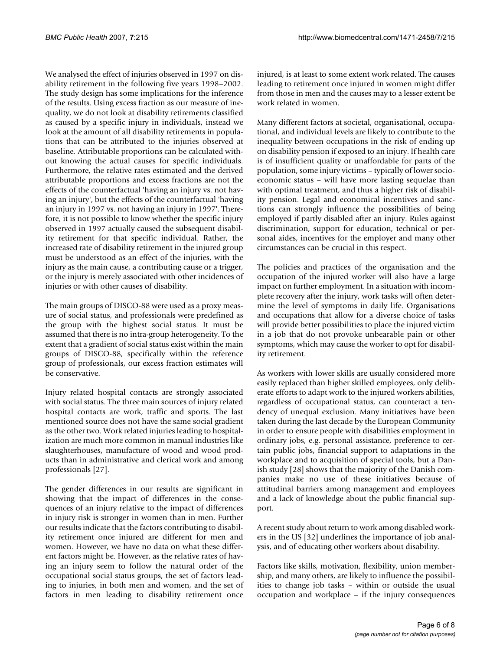We analysed the effect of injuries observed in 1997 on disability retirement in the following five years 1998–2002. The study design has some implications for the inference of the results. Using excess fraction as our measure of inequality, we do not look at disability retirements classified as caused by a specific injury in individuals, instead we look at the amount of all disability retirements in populations that can be attributed to the injuries observed at baseline. Attributable proportions can be calculated without knowing the actual causes for specific individuals. Furthermore, the relative rates estimated and the derived attributable proportions and excess fractions are not the effects of the counterfactual 'having an injury vs. not having an injury', but the effects of the counterfactual 'having an injury in 1997 vs. not having an injury in 1997'. Therefore, it is not possible to know whether the specific injury observed in 1997 actually caused the subsequent disability retirement for that specific individual. Rather, the increased rate of disability retirement in the injured group must be understood as an effect of the injuries, with the injury as the main cause, a contributing cause or a trigger, or the injury is merely associated with other incidences of injuries or with other causes of disability.

The main groups of DISCO-88 were used as a proxy measure of social status, and professionals were predefined as the group with the highest social status. It must be assumed that there is no intra-group heterogeneity. To the extent that a gradient of social status exist within the main groups of DISCO-88, specifically within the reference group of professionals, our excess fraction estimates will be conservative.

Injury related hospital contacts are strongly associated with social status. The three main sources of injury related hospital contacts are work, traffic and sports. The last mentioned source does not have the same social gradient as the other two. Work related injuries leading to hospitalization are much more common in manual industries like slaughterhouses, manufacture of wood and wood products than in administrative and clerical work and among professionals [27].

The gender differences in our results are significant in showing that the impact of differences in the consequences of an injury relative to the impact of differences in injury risk is stronger in women than in men. Further our results indicate that the factors contributing to disability retirement once injured are different for men and women. However, we have no data on what these different factors might be. However, as the relative rates of having an injury seem to follow the natural order of the occupational social status groups, the set of factors leading to injuries, in both men and women, and the set of factors in men leading to disability retirement once injured, is at least to some extent work related. The causes leading to retirement once injured in women might differ from those in men and the causes may to a lesser extent be work related in women.

Many different factors at societal, organisational, occupational, and individual levels are likely to contribute to the inequality between occupations in the risk of ending up on disability pension if exposed to an injury. If health care is of insufficient quality or unaffordable for parts of the population, some injury victims – typically of lower socioeconomic status – will have more lasting sequelae than with optimal treatment, and thus a higher risk of disability pension. Legal and economical incentives and sanctions can strongly influence the possibilities of being employed if partly disabled after an injury. Rules against discrimination, support for education, technical or personal aides, incentives for the employer and many other circumstances can be crucial in this respect.

The policies and practices of the organisation and the occupation of the injured worker will also have a large impact on further employment. In a situation with incomplete recovery after the injury, work tasks will often determine the level of symptoms in daily life. Organisations and occupations that allow for a diverse choice of tasks will provide better possibilities to place the injured victim in a job that do not provoke unbearable pain or other symptoms, which may cause the worker to opt for disability retirement.

As workers with lower skills are usually considered more easily replaced than higher skilled employees, only deliberate efforts to adapt work to the injured workers abilities, regardless of occupational status, can counteract a tendency of unequal exclusion. Many initiatives have been taken during the last decade by the European Community in order to ensure people with disabilities employment in ordinary jobs, e.g. personal assistance, preference to certain public jobs, financial support to adaptations in the workplace and to acquisition of special tools, but a Danish study [28] shows that the majority of the Danish companies make no use of these initiatives because of attitudinal barriers among management and employees and a lack of knowledge about the public financial support.

A recent study about return to work among disabled workers in the US [32] underlines the importance of job analysis, and of educating other workers about disability.

Factors like skills, motivation, flexibility, union membership, and many others, are likely to influence the possibilities to change job tasks – within or outside the usual occupation and workplace – if the injury consequences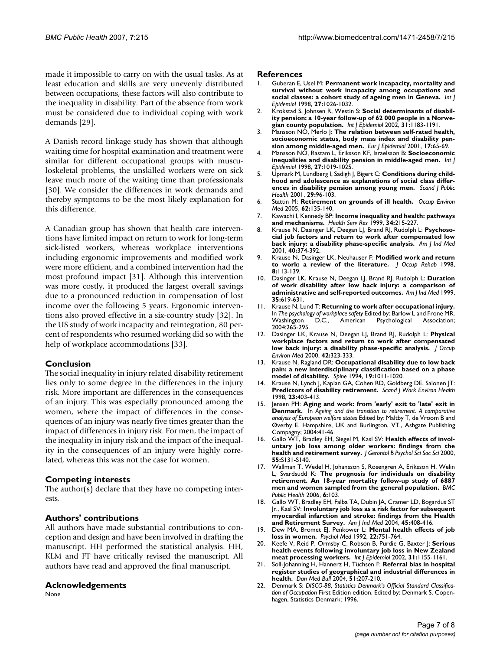made it impossible to carry on with the usual tasks. As at least education and skills are very unevenly distributed between occupations, these factors will also contribute to the inequality in disability. Part of the absence from work must be considered due to individual coping with work demands [29].

A Danish record linkage study has shown that although waiting time for hospital examination and treatment were similar for different occupational groups with musculoskeletal problems, the unskilled workers were on sick leave much more of the waiting time than professionals [30]. We consider the differences in work demands and thereby symptoms to be the most likely explanation for this difference.

A Canadian group has shown that health care interventions have limited impact on return to work for long-term sick-listed workers, whereas workplace interventions including ergonomic improvements and modified work were more efficient, and a combined intervention had the most profound impact [31]. Although this intervention was more costly, it produced the largest overall savings due to a pronounced reduction in compensation of lost income over the following 5 years. Ergonomic interventions also proved effective in a six-country study [32]. In the US study of work incapacity and reintegration, 80 percent of respondents who resumed working did so with the help of workplace accommodations [33].

#### **Conclusion**

The social inequality in injury related disability retirement lies only to some degree in the differences in the injury risk. More important are differences in the consequences of an injury. This was especially pronounced among the women, where the impact of differences in the consequences of an injury was nearly five times greater than the impact of differences in injury risk. For men, the impact of the inequality in injury risk and the impact of the inequality in the consequences of an injury were highly correlated, whereas this was not the case for women.

### **Competing interests**

The author(s) declare that they have no competing interests.

#### **Authors' contributions**

All authors have made substantial contributions to conception and design and have been involved in drafting the manuscript. HH performed the statistical analysis. HH, KLM and FT have critically revised the manuscript. All authors have read and approved the final manuscript.

#### **Acknowledgements**

None

#### **References**

- 1. Guberan E, Usel M: **[Permanent work incapacity, mortality and](http://www.ncbi.nlm.nih.gov/entrez/query.fcgi?cmd=Retrieve&db=PubMed&dopt=Abstract&list_uids=10024198) [survival without work incapacity among occupations and](http://www.ncbi.nlm.nih.gov/entrez/query.fcgi?cmd=Retrieve&db=PubMed&dopt=Abstract&list_uids=10024198) [social classes: a cohort study of ageing men in Geneva.](http://www.ncbi.nlm.nih.gov/entrez/query.fcgi?cmd=Retrieve&db=PubMed&dopt=Abstract&list_uids=10024198)** *Int J Epidemiol* 1998, **27:**1026-1032.
- 2. Krokstad S, Johnsen R, Westin S: **[Social determinants of disabil](http://www.ncbi.nlm.nih.gov/entrez/query.fcgi?cmd=Retrieve&db=PubMed&dopt=Abstract&list_uids=12540720)[ity pension: a 10-year follow-up of 62 000 people in a Norwe](http://www.ncbi.nlm.nih.gov/entrez/query.fcgi?cmd=Retrieve&db=PubMed&dopt=Abstract&list_uids=12540720)[gian county population.](http://www.ncbi.nlm.nih.gov/entrez/query.fcgi?cmd=Retrieve&db=PubMed&dopt=Abstract&list_uids=12540720)** *Int J Epidemiol* 2002, **31:**1183-1191.
- 3. Mansson NO, Merlo J: **[The relation between self-rated health,](http://www.ncbi.nlm.nih.gov/entrez/query.fcgi?cmd=Retrieve&db=PubMed&dopt=Abstract&list_uids=11523578) [socioeconomic status, body mass index and disability pen](http://www.ncbi.nlm.nih.gov/entrez/query.fcgi?cmd=Retrieve&db=PubMed&dopt=Abstract&list_uids=11523578)[sion among middle-aged men.](http://www.ncbi.nlm.nih.gov/entrez/query.fcgi?cmd=Retrieve&db=PubMed&dopt=Abstract&list_uids=11523578)** *Eur J Epidemiol* 2001, **17:**65-69.
- 4. Mansson NO, Rastam L, Eriksson KF, Israelsson B: **[Socioeconomic](http://www.ncbi.nlm.nih.gov/entrez/query.fcgi?cmd=Retrieve&db=PubMed&dopt=Abstract&list_uids=10024197) [inequalities and disability pension in middle-aged men.](http://www.ncbi.nlm.nih.gov/entrez/query.fcgi?cmd=Retrieve&db=PubMed&dopt=Abstract&list_uids=10024197)** *Int J Epidemiol* 1998, **27:**1019-1025.
- 5. Upmark M, Lundberg I, Sadigh J, Bigert C: **[Conditions during child](http://www.ncbi.nlm.nih.gov/entrez/query.fcgi?cmd=Retrieve&db=PubMed&dopt=Abstract&list_uids=11484872)[hood and adolescence as explanations of social class differ](http://www.ncbi.nlm.nih.gov/entrez/query.fcgi?cmd=Retrieve&db=PubMed&dopt=Abstract&list_uids=11484872)[ences in disability pension among young men.](http://www.ncbi.nlm.nih.gov/entrez/query.fcgi?cmd=Retrieve&db=PubMed&dopt=Abstract&list_uids=11484872)** *Scand J Public Health* 2001, **29:**96-103.
- 6. Stattin M: **[Retirement on grounds of ill health.](http://www.ncbi.nlm.nih.gov/entrez/query.fcgi?cmd=Retrieve&db=PubMed&dopt=Abstract&list_uids=15657199)** *Occup Environ Med* 2005, **62:**135-140.
- 7. Kawachi I, Kennedy BP: **[Income inequality and health: pathways](http://www.ncbi.nlm.nih.gov/entrez/query.fcgi?cmd=Retrieve&db=PubMed&dopt=Abstract&list_uids=10199670) [and mechanisms.](http://www.ncbi.nlm.nih.gov/entrez/query.fcgi?cmd=Retrieve&db=PubMed&dopt=Abstract&list_uids=10199670)** *Health Serv Res* 1999, **34:**215-227.
- 8. Krause N, Dasinger LK, Deegan LJ, Brand RJ, Rudolph L: **[Psychoso](http://www.ncbi.nlm.nih.gov/entrez/query.fcgi?cmd=Retrieve&db=PubMed&dopt=Abstract&list_uids=11598987)[cial job factors and return to work after compensated low](http://www.ncbi.nlm.nih.gov/entrez/query.fcgi?cmd=Retrieve&db=PubMed&dopt=Abstract&list_uids=11598987) [back injury: a disability phase-specific analysis.](http://www.ncbi.nlm.nih.gov/entrez/query.fcgi?cmd=Retrieve&db=PubMed&dopt=Abstract&list_uids=11598987)** *Am J Ind Med* 2001, **40:**374-392.
- 9. Krause N, Dasinger LK, Neuhauser F: **Modified work and return to work: a review of the literature.** *J Occup Rehab* 1998, **8:**113-139.
- 10. Dasinger LK, Krause N, Deegan LJ, Brand RJ, Rudolph L: **[Duration](http://www.ncbi.nlm.nih.gov/entrez/query.fcgi?cmd=Retrieve&db=PubMed&dopt=Abstract&list_uids=10332515) [of work disability after low back injury: a comparison of](http://www.ncbi.nlm.nih.gov/entrez/query.fcgi?cmd=Retrieve&db=PubMed&dopt=Abstract&list_uids=10332515) [administrative and self-reported outcomes.](http://www.ncbi.nlm.nih.gov/entrez/query.fcgi?cmd=Retrieve&db=PubMed&dopt=Abstract&list_uids=10332515)** *Am J Ind Med* 1999, **35:**619-631.
- 11. Krause N, Lund T: **Returning to work after occupational injury.** In *The psychology of workplace safety* Edited by: Barlow L and Frone MR. Psychological 2004:265-295.
- 12. Dasinger LK, Krause N, Deegan LJ, Brand RJ, Rudolph L: **[Physical](http://www.ncbi.nlm.nih.gov/entrez/query.fcgi?cmd=Retrieve&db=PubMed&dopt=Abstract&list_uids=10738711) [workplace factors and return to work after compensated](http://www.ncbi.nlm.nih.gov/entrez/query.fcgi?cmd=Retrieve&db=PubMed&dopt=Abstract&list_uids=10738711) [low back injury: a disability phase-specific analysis.](http://www.ncbi.nlm.nih.gov/entrez/query.fcgi?cmd=Retrieve&db=PubMed&dopt=Abstract&list_uids=10738711)** *J Occup Environ Med* 2000, **42:**323-333.
- 13. Krause N, Ragland DR: **[Occupational disability due to low back](http://www.ncbi.nlm.nih.gov/entrez/query.fcgi?cmd=Retrieve&db=PubMed&dopt=Abstract&list_uids=8029734) [pain: a new interdisciplinary classification based on a phase](http://www.ncbi.nlm.nih.gov/entrez/query.fcgi?cmd=Retrieve&db=PubMed&dopt=Abstract&list_uids=8029734) [model of disability.](http://www.ncbi.nlm.nih.gov/entrez/query.fcgi?cmd=Retrieve&db=PubMed&dopt=Abstract&list_uids=8029734)** *Spine* 1994, **19:**1011-1020.
- 14. Krause N, Lynch J, Kaplan GA, Cohen RD, Goldberg DE, Salonen JT: **Predictors of disability retirement.** *Scand J Work Environ Health* 1998, **23:**403-413.
- 15. Jensen PH: **Aging and work: from 'early' exit to 'late' exit in Denmark.** In *Ageing and the transition to retirement. A comparative analysis of European welfare states* Edited by: Maltby T, de Vroom B and Øverby E. Hampshire, UK and Burlington, VT., Ashgate Publishing Compagny; 2004:41-46.
- 16. Gallo WT, Bradley EH, Siegel M, Kasl SV: **[Health effects of invol](http://www.ncbi.nlm.nih.gov/entrez/query.fcgi?cmd=Retrieve&db=PubMed&dopt=Abstract&list_uids=11833981)[untary job loss among older workers: findings from the](http://www.ncbi.nlm.nih.gov/entrez/query.fcgi?cmd=Retrieve&db=PubMed&dopt=Abstract&list_uids=11833981) [health and retirement survey.](http://www.ncbi.nlm.nih.gov/entrez/query.fcgi?cmd=Retrieve&db=PubMed&dopt=Abstract&list_uids=11833981)** *J Gerontol B Psychol Sci Soc Sci* 2000, **55:**S131-S140.
- 17. Wallman T, Wedel H, Johansson S, Rosengren A, Eriksson H, Welin L, Svardsudd K: **[The prognosis for individuals on disability](http://www.ncbi.nlm.nih.gov/entrez/query.fcgi?cmd=Retrieve&db=PubMed&dopt=Abstract&list_uids=16630360) [retirement. An 18-year mortality follow-up study of 6887](http://www.ncbi.nlm.nih.gov/entrez/query.fcgi?cmd=Retrieve&db=PubMed&dopt=Abstract&list_uids=16630360) [men and women sampled from the general population.](http://www.ncbi.nlm.nih.gov/entrez/query.fcgi?cmd=Retrieve&db=PubMed&dopt=Abstract&list_uids=16630360)** *BMC Public Health* 2006, **6:**103.
- 18. Gallo WT, Bradley EH, Falba TA, Dubin JA, Cramer LD, Bogardus ST Jr., Kasl SV: **[Involuntary job loss as a risk factor for subsequent](http://www.ncbi.nlm.nih.gov/entrez/query.fcgi?cmd=Retrieve&db=PubMed&dopt=Abstract&list_uids=15095423) [myocardial infarction and stroke: findings from the Health](http://www.ncbi.nlm.nih.gov/entrez/query.fcgi?cmd=Retrieve&db=PubMed&dopt=Abstract&list_uids=15095423) [and Retirement Survey.](http://www.ncbi.nlm.nih.gov/entrez/query.fcgi?cmd=Retrieve&db=PubMed&dopt=Abstract&list_uids=15095423)** *Am J Ind Med* 2004, **45:**408-416.
- 19. Dew MA, Bromet EJ, Penkower L: **[Mental health effects of job](http://www.ncbi.nlm.nih.gov/entrez/query.fcgi?cmd=Retrieve&db=PubMed&dopt=Abstract&list_uids=1410099) [loss in women.](http://www.ncbi.nlm.nih.gov/entrez/query.fcgi?cmd=Retrieve&db=PubMed&dopt=Abstract&list_uids=1410099)** *Psychol Med* 1992, **22:**751-764.
- 20. Keefe V, Reid P, Ormsby C, Robson B, Purdie G, Baxter J: **[Serious](http://www.ncbi.nlm.nih.gov/entrez/query.fcgi?cmd=Retrieve&db=PubMed&dopt=Abstract&list_uids=12540716) [health events following involuntary job loss in New Zealand](http://www.ncbi.nlm.nih.gov/entrez/query.fcgi?cmd=Retrieve&db=PubMed&dopt=Abstract&list_uids=12540716) [meat processing workers.](http://www.ncbi.nlm.nih.gov/entrez/query.fcgi?cmd=Retrieve&db=PubMed&dopt=Abstract&list_uids=12540716)** *Int J Epidemiol* 2002, **31:**1155-1161.
- 21. Soll-Johanning H, Hannerz H, Tüchsen F: **[Referral bias in hospital](http://www.ncbi.nlm.nih.gov/entrez/query.fcgi?cmd=Retrieve&db=PubMed&dopt=Abstract&list_uids=16009057) [register studies of geographical and industrial differences in](http://www.ncbi.nlm.nih.gov/entrez/query.fcgi?cmd=Retrieve&db=PubMed&dopt=Abstract&list_uids=16009057) [health.](http://www.ncbi.nlm.nih.gov/entrez/query.fcgi?cmd=Retrieve&db=PubMed&dopt=Abstract&list_uids=16009057)** *Dan Med Bull* 2004, **51:**207-210.
- 22. Denmark S: *DISCO-88, Statistics Denmark's Official Standard Classification of Occupation* First Edition edition. Edited by: Denmark S. Copenhagen, Statistics Denmark; 1996.